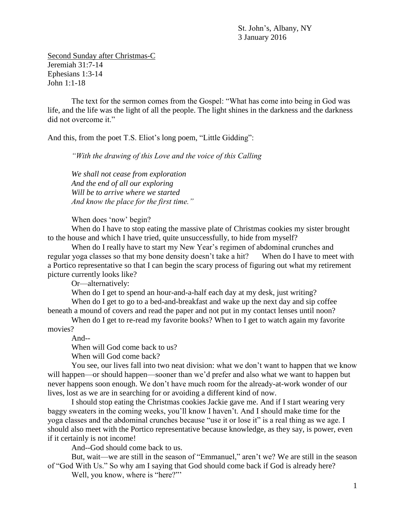St. John's, Albany, NY 3 January 2016

Second Sunday after Christmas-C Jeremiah 31:7-14 Ephesians 1:3-14 John 1:1-18

The text for the sermon comes from the Gospel: "What has come into being in God was life, and the life was the light of all the people. The light shines in the darkness and the darkness did not overcome it."

And this, from the poet T.S. Eliot's long poem, "Little Gidding":

*"With the drawing of this Love and the voice of this Calling*

*We shall not cease from exploration And the end of all our exploring Will be to arrive where we started And know the place for the first time."*

When does 'now' begin?

When do I have to stop eating the massive plate of Christmas cookies my sister brought to the house and which I have tried, quite unsuccessfully, to hide from myself?

When do I really have to start my New Year's regimen of abdominal crunches and regular yoga classes so that my bone density doesn't take a hit? When do I have to meet with a Portico representative so that I can begin the scary process of figuring out what my retirement picture currently looks like?

Or—alternatively:

When do I get to spend an hour-and-a-half each day at my desk, just writing?

When do I get to go to a bed-and-breakfast and wake up the next day and sip coffee beneath a mound of covers and read the paper and not put in my contact lenses until noon?

When do I get to re-read my favorite books? When to I get to watch again my favorite movies?

And--

When will God come back to us?

When will God come back?

You see, our lives fall into two neat division: what we don't want to happen that we know will happen—or should happen—sooner than we'd prefer and also what we want to happen but never happens soon enough. We don't have much room for the already-at-work wonder of our lives, lost as we are in searching for or avoiding a different kind of now.

I should stop eating the Christmas cookies Jackie gave me. And if I start wearing very baggy sweaters in the coming weeks, you'll know I haven't. And I should make time for the yoga classes and the abdominal crunches because "use it or lose it" is a real thing as we age. I should also meet with the Portico representative because knowledge, as they say, is power, even if it certainly is not income!

And--God should come back to us.

But, wait—we are still in the season of "Emmanuel," aren't we? We are still in the season of "God With Us." So why am I saying that God should come back if God is already here?

Well, you know, where is "here?""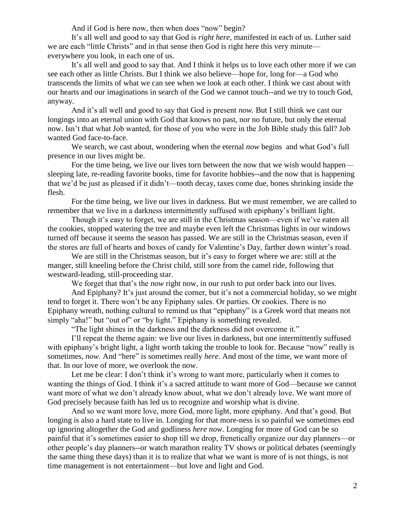And if God is here now, then when does "now" begin?

It's all well and good to say that God is *right here*, manifested in each of us. Luther said we are each "little Christs" and in that sense then God is right here this very minute everywhere you look, in each one of us.

It's all well and good to say that. And I think it helps us to love each other more if we can see each other as little Christs. But I think we also believe—hope for, long for—a God who transcends the limits of what we can see when we look at each other. I think we cast about with our hearts and our imaginations in search of the God we cannot touch--and we try to touch God, anyway.

And it's all well and good to say that God is present *now.* But I still think we cast our longings into an eternal union with God that knows no past, nor no future, but only the eternal now. Isn't that what Job wanted, for those of you who were in the Job Bible study this fall? Job wanted God face-to-face.

We search, we cast about, wondering when the eternal *now* begins and what God's full presence in our lives might be.

For the time being, we live our lives torn between the now that we wish would happen sleeping late, re-reading favorite books, time for favorite hobbies--and the now that is happening that we'd be just as pleased if it didn't—tooth decay, taxes come due, bones shrinking inside the flesh.

For the time being, we live our lives in darkness. But we must remember, we are called to remember that we live in a darkness intermittently suffused with epiphany's brilliant light.

Though it's easy to forget, we are still in the Christmas season—even if we've eaten all the cookies, stopped watering the tree and maybe even left the Christmas lights in our windows turned off because it seems the season has passed. We are still in the Christmas season, even if the stores are full of hearts and boxes of candy for Valentine's Day, farther down winter's road.

We are still in the Christmas season, but it's easy to forget where we are: still at the manger, still kneeling before the Christ child, still sore from the camel ride, following that westward-leading, still-proceeding star.

We forget that that's the *now* right now, in our rush to put order back into our lives.

And Epiphany? It's just around the corner, but it's not a commercial holiday, so we might tend to forget it. There won't be any Epiphany sales. Or parties. Or cookies. There is no Epiphany wreath, nothing cultural to remind us that "epiphany" is a Greek word that means not simply "aha!" but "out of" or "by light." Epiphany is something revealed.

"The light shines in the darkness and the darkness did not overcome it."

I'll repeat the theme again: we live our lives in darkness, but one intermittently suffused with epiphany's bright light, a light worth taking the trouble to look for. Because "now" really is sometimes, *now*. And "here" is sometimes really *here*. And most of the time, we want more of that. In our love of more, we overlook the now.

Let me be clear: I don't think it's wrong to want more, particularly when it comes to wanting the things of God. I think it's a sacred attitude to want more of God—because we cannot want more of what we don't already know about, what we don't already love. We want more of God precisely because faith has led us to recognize and worship what is divine.

And so we want more love, more God, more light, more epiphany. And that's good. But longing is also a hard state to live in. Longing for that more-ness is so painful we sometimes end up ignoring altogether the God and godliness *here now*. Longing for more of God can be so painful that it's sometimes easier to shop till we drop, frenetically organize our day planners—or other people's day planners--or watch marathon reality TV shows or political debates (seemingly the same thing these days) than it is to realize that what we want is more of is not things, is not time management is not entertainment—but love and light and God.